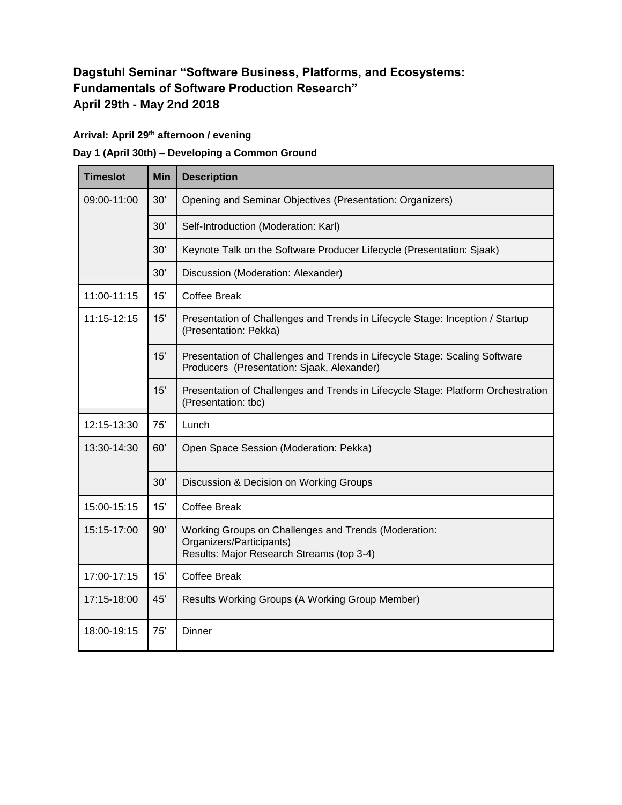## **Dagstuhl Seminar "Software Business, Platforms, and Ecosystems: Fundamentals of Software Production Research" April 29th - May 2nd 2018**

## **Arrival: April 29th afternoon / evening**

## **Day 1 (April 30th) – Developing a Common Ground**

| <b>Timeslot</b> | Min | <b>Description</b>                                                                                                            |
|-----------------|-----|-------------------------------------------------------------------------------------------------------------------------------|
| 09:00-11:00     | 30' | Opening and Seminar Objectives (Presentation: Organizers)                                                                     |
|                 | 30' | Self-Introduction (Moderation: Karl)                                                                                          |
|                 | 30' | Keynote Talk on the Software Producer Lifecycle (Presentation: Sjaak)                                                         |
|                 | 30' | Discussion (Moderation: Alexander)                                                                                            |
| 11:00-11:15     | 15' | <b>Coffee Break</b>                                                                                                           |
| 11:15-12:15     | 15' | Presentation of Challenges and Trends in Lifecycle Stage: Inception / Startup<br>(Presentation: Pekka)                        |
|                 | 15' | Presentation of Challenges and Trends in Lifecycle Stage: Scaling Software<br>Producers (Presentation: Sjaak, Alexander)      |
|                 | 15' | Presentation of Challenges and Trends in Lifecycle Stage: Platform Orchestration<br>(Presentation: tbc)                       |
| 12:15-13:30     | 75' | Lunch                                                                                                                         |
| 13:30-14:30     | 60' | Open Space Session (Moderation: Pekka)                                                                                        |
|                 | 30' | Discussion & Decision on Working Groups                                                                                       |
| 15:00-15:15     | 15' | <b>Coffee Break</b>                                                                                                           |
| 15:15-17:00     | 90' | Working Groups on Challenges and Trends (Moderation:<br>Organizers/Participants)<br>Results: Major Research Streams (top 3-4) |
| 17:00-17:15     | 15' | <b>Coffee Break</b>                                                                                                           |
| 17:15-18:00     | 45' | Results Working Groups (A Working Group Member)                                                                               |
| 18:00-19:15     | 75' | <b>Dinner</b>                                                                                                                 |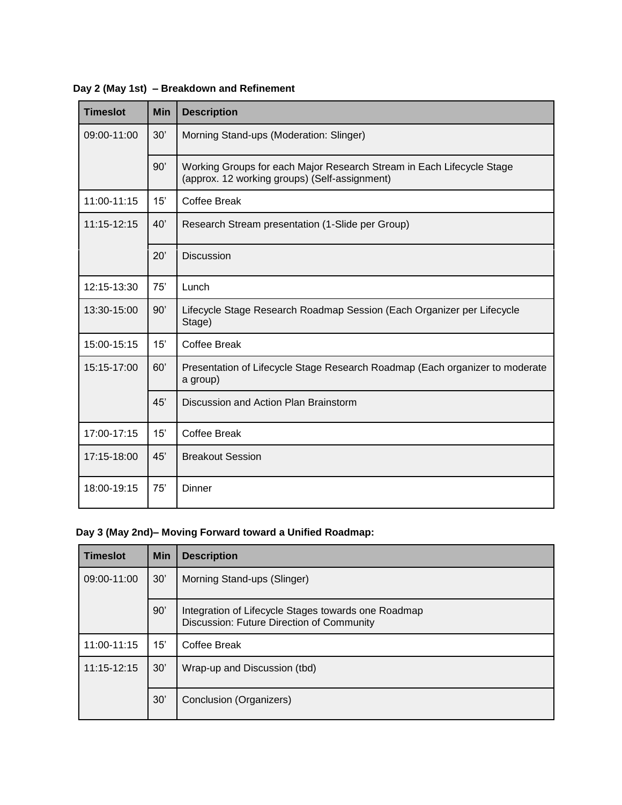| <b>Timeslot</b> | Min | <b>Description</b>                                                                                                     |
|-----------------|-----|------------------------------------------------------------------------------------------------------------------------|
| 09:00-11:00     | 30' | Morning Stand-ups (Moderation: Slinger)                                                                                |
|                 | 90' | Working Groups for each Major Research Stream in Each Lifecycle Stage<br>(approx. 12 working groups) (Self-assignment) |
| 11:00-11:15     | 15' | <b>Coffee Break</b>                                                                                                    |
| 11:15-12:15     | 40' | Research Stream presentation (1-Slide per Group)                                                                       |
|                 | 20' | <b>Discussion</b>                                                                                                      |
| 12:15-13:30     | 75' | Lunch                                                                                                                  |
| 13:30-15:00     | 90' | Lifecycle Stage Research Roadmap Session (Each Organizer per Lifecycle<br>Stage)                                       |
| 15:00-15:15     | 15' | Coffee Break                                                                                                           |
| 15:15-17:00     | 60' | Presentation of Lifecycle Stage Research Roadmap (Each organizer to moderate<br>a group)                               |
|                 | 45' | Discussion and Action Plan Brainstorm                                                                                  |
| 17:00-17:15     | 15' | <b>Coffee Break</b>                                                                                                    |
| 17:15-18:00     | 45' | <b>Breakout Session</b>                                                                                                |
| 18:00-19:15     | 75' | Dinner                                                                                                                 |

**Day 2 (May 1st) – Breakdown and Refinement**

## **Day 3 (May 2nd)– Moving Forward toward a Unified Roadmap:**

| <b>Timeslot</b> | <b>Min</b> | <b>Description</b>                                                                               |
|-----------------|------------|--------------------------------------------------------------------------------------------------|
| 09:00-11:00     | 30'        | Morning Stand-ups (Slinger)                                                                      |
|                 | 90'        | Integration of Lifecycle Stages towards one Roadmap<br>Discussion: Future Direction of Community |
| 11:00-11:15     | 15'        | Coffee Break                                                                                     |
| $11:15 - 12:15$ | 30'        | Wrap-up and Discussion (tbd)                                                                     |
|                 | 30'        | Conclusion (Organizers)                                                                          |